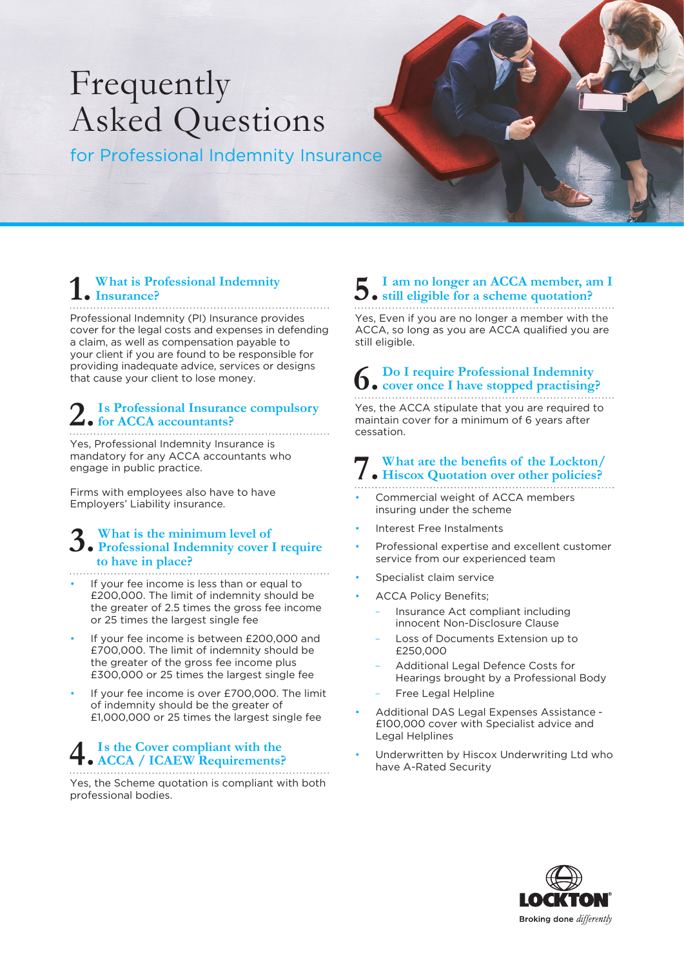# Frequently Asked Questions

for Professional Indemnity Insurance

#### **1. What is Professional Indemnity Insurance?**

Professional Indemnity (PI) Insurance provides cover for the legal costs and expenses in defending a claim, as well as compensation payable to your client if you are found to be responsible for providing inadequate advice, services or designs that cause your client to lose money.

#### **2.Is Professional Insurance compulsory for ACCA accountants?**

Yes, Professional Indemnity Insurance is mandatory for any ACCA accountants who engage in public practice.

Firms with employees also have to have Employers' Liability insurance.

### **3. What is the minimum level of Professional Indemnity cover I require to have in place?**

- If your fee income is less than or equal to £200,000. The limit of indemnity should be the greater of 2.5 times the gross fee income or 25 times the largest single fee
- If your fee income is between £200,000 and £700,000. The limit of indemnity should be the greater of the gross fee income plus £300,000 or 25 times the largest single fee
- If your fee income is over £700,000. The limit of indemnity should be the greater of £1,000,000 or 25 times the largest single fee

## **4.Is the Cover compliant with the ACCA / ICAEW Requirements?**

Yes, the Scheme quotation is compliant with both professional bodies.

### **5.I am no longer an ACCA member, am I still eligible for a scheme quotation?**

Yes, Even if you are no longer a member with the ACCA, so long as you are ACCA qualified you are still eligible.

## **6. Do I require Professional Indemnity cover once I have stopped practising?**

Yes, the ACCA stipulate that you are required to maintain cover for a minimum of 6 years after cessation.

### **7. Hiscox Quotation over other policies? What are the benefits of the Lockton/**

- Commercial weight of ACCA members insuring under the scheme
- Interest Free Instalments
- Professional expertise and excellent customer service from our experienced team
- Specialist claim service
- ACCA Policy Benefits;
	- Insurance Act compliant including innocent Non-Disclosure Clause
	- Loss of Documents Extension up to £250,000
	- Additional Legal Defence Costs for Hearings brought by a Professional Body
	- Free Legal Helpline
- Additional DAS Legal Expenses Assistance £100,000 cover with Specialist advice and Legal Helplines
- Underwritten by Hiscox Underwriting Ltd who have A-Rated Security